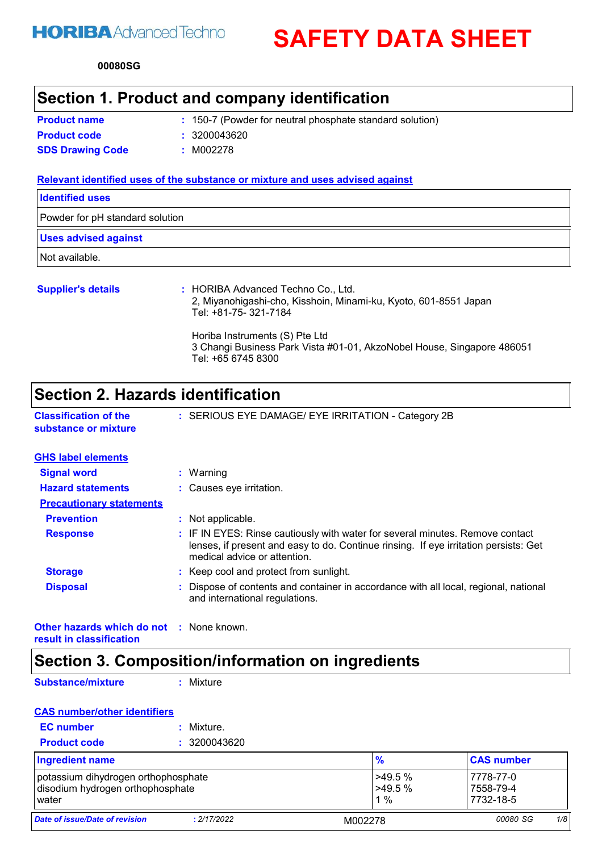# **HORIBA** Advanced Techno

**SAFETY DATA SHEET**

**00080 SG**

# **Section 1. Product and company identification**

| <b>Product name</b>     | : 150-7 (Powder for neutral phosphate standard solution) |
|-------------------------|----------------------------------------------------------|
| <b>Product code</b>     | : 3200043620                                             |
| <b>SDS Drawing Code</b> | : M002278                                                |

#### **Relevant identified uses of the substance or mixture and uses advised against**

| <b>Identified uses</b>          |  |
|---------------------------------|--|
| Powder for pH standard solution |  |
| <b>Uses advised against</b>     |  |
| Not available.                  |  |
|                                 |  |

| <b>Supplier's details</b> | : HORIBA Advanced Techno Co., Ltd.<br>2, Miyanohigashi-cho, Kisshoin, Minami-ku, Kyoto, 601-8551 Japan<br>Tel: +81-75- 321-7184 |
|---------------------------|---------------------------------------------------------------------------------------------------------------------------------|
|                           | Horiba Instruments (S) Pte Ltd<br>3 Changi Business Park Vista #01-01, AkzoNobel House, Singapore 486051<br>Tel: +65 6745 8300  |

# **Section 2. Hazards identification**

| <b>Classification of the</b> | : SERIOUS EYE DAMAGE/ EYE IRRITATION - Category 2B |
|------------------------------|----------------------------------------------------|
| substance or mixture         |                                                    |

| <b>GHS label elements</b>       |                                                                                                                                                                                                       |
|---------------------------------|-------------------------------------------------------------------------------------------------------------------------------------------------------------------------------------------------------|
| <b>Signal word</b>              | Warning                                                                                                                                                                                               |
| <b>Hazard statements</b>        | : Causes eye irritation.                                                                                                                                                                              |
| <b>Precautionary statements</b> |                                                                                                                                                                                                       |
| <b>Prevention</b>               | Not applicable.                                                                                                                                                                                       |
| <b>Response</b>                 | : IF IN EYES: Rinse cautiously with water for several minutes. Remove contact<br>lenses, if present and easy to do. Continue rinsing. If eye irritation persists: Get<br>medical advice or attention. |
| <b>Storage</b>                  | : Keep cool and protect from sunlight.                                                                                                                                                                |
| <b>Disposal</b>                 | Dispose of contents and container in accordance with all local, regional, national<br>and international regulations.                                                                                  |
|                                 |                                                                                                                                                                                                       |

**Other hazards which do not :** None known. **result in classification**

# **Section 3. Composition/information on ingredients**

**Substance/mixture**

**:** Mixture

### **CAS number/other identifiers**

| <b>EC</b> number    | : Mixture.   |
|---------------------|--------------|
| <b>Product code</b> | : 3200043620 |

| <b>Ingredient name</b>                                                           |             | $\frac{9}{6}$                   | <b>CAS number</b>                   |     |
|----------------------------------------------------------------------------------|-------------|---------------------------------|-------------------------------------|-----|
| potassium dihydrogen orthophosphate<br>disodium hydrogen orthophosphate<br>water |             | $>49.5\%$<br>$>49.5\%$<br>$1\%$ | 7778-77-0<br>7558-79-4<br>7732-18-5 |     |
| Date of issue/Date of revision                                                   | : 2/17/2022 | M002278                         | 00080 SG                            | 1/8 |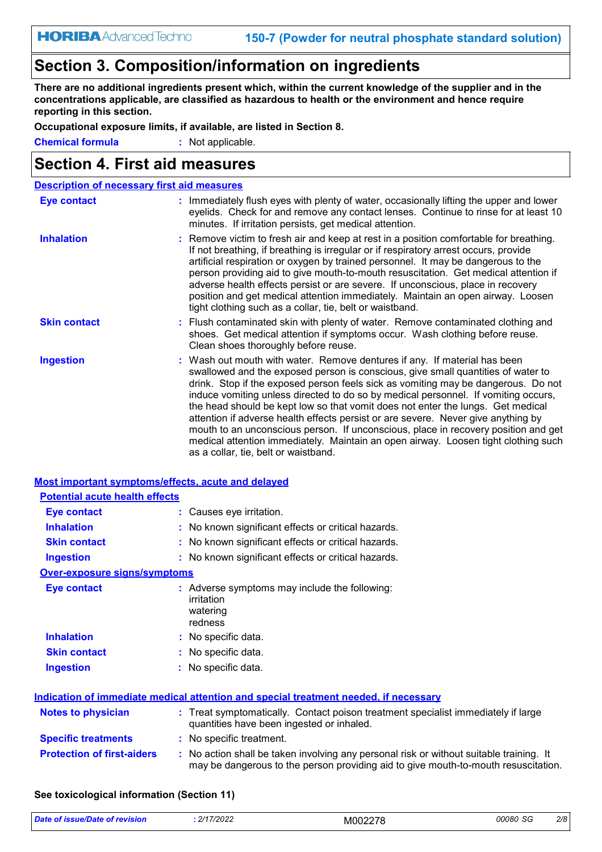# **Section 3. Composition/information on ingredients**

**There are no additional ingredients present which, within the current knowledge of the supplier and in the concentrations applicable, are classified as hazardous to health or the environment and hence require reporting in this section.**

**Occupational exposure limits, if available, are listed in Section 8.**

**Chemical formula :** Not applicable.

### **Section 4. First aid measures**

| <b>Description of necessary first aid measures</b> |                                                                                                                                                                                                                                                                                                                                                                                                                                                                                                                                                                                                                                                                                                                                      |
|----------------------------------------------------|--------------------------------------------------------------------------------------------------------------------------------------------------------------------------------------------------------------------------------------------------------------------------------------------------------------------------------------------------------------------------------------------------------------------------------------------------------------------------------------------------------------------------------------------------------------------------------------------------------------------------------------------------------------------------------------------------------------------------------------|
| <b>Eye contact</b>                                 | : Immediately flush eyes with plenty of water, occasionally lifting the upper and lower<br>eyelids. Check for and remove any contact lenses. Continue to rinse for at least 10<br>minutes. If irritation persists, get medical attention.                                                                                                                                                                                                                                                                                                                                                                                                                                                                                            |
| <b>Inhalation</b>                                  | : Remove victim to fresh air and keep at rest in a position comfortable for breathing.<br>If not breathing, if breathing is irregular or if respiratory arrest occurs, provide<br>artificial respiration or oxygen by trained personnel. It may be dangerous to the<br>person providing aid to give mouth-to-mouth resuscitation. Get medical attention if<br>adverse health effects persist or are severe. If unconscious, place in recovery<br>position and get medical attention immediately. Maintain an open airway. Loosen<br>tight clothing such as a collar, tie, belt or waistband.                                                                                                                                         |
| <b>Skin contact</b>                                | : Flush contaminated skin with plenty of water. Remove contaminated clothing and<br>shoes. Get medical attention if symptoms occur. Wash clothing before reuse.<br>Clean shoes thoroughly before reuse.                                                                                                                                                                                                                                                                                                                                                                                                                                                                                                                              |
| <b>Ingestion</b>                                   | : Wash out mouth with water. Remove dentures if any. If material has been<br>swallowed and the exposed person is conscious, give small quantities of water to<br>drink. Stop if the exposed person feels sick as vomiting may be dangerous. Do not<br>induce vomiting unless directed to do so by medical personnel. If vomiting occurs,<br>the head should be kept low so that vomit does not enter the lungs. Get medical<br>attention if adverse health effects persist or are severe. Never give anything by<br>mouth to an unconscious person. If unconscious, place in recovery position and get<br>medical attention immediately. Maintain an open airway. Loosen tight clothing such<br>as a collar, tie, belt or waistband. |

| <b>Most important symptoms/effects, acute and delayed</b> |                                                                                                                                                                               |
|-----------------------------------------------------------|-------------------------------------------------------------------------------------------------------------------------------------------------------------------------------|
| <b>Potential acute health effects</b>                     |                                                                                                                                                                               |
| Eye contact                                               | : Causes eye irritation.                                                                                                                                                      |
| <b>Inhalation</b>                                         | : No known significant effects or critical hazards.                                                                                                                           |
| <b>Skin contact</b>                                       | : No known significant effects or critical hazards.                                                                                                                           |
| <b>Ingestion</b>                                          | : No known significant effects or critical hazards.                                                                                                                           |
| <b>Over-exposure signs/symptoms</b>                       |                                                                                                                                                                               |
| <b>Eye contact</b>                                        | : Adverse symptoms may include the following:<br>irritation<br>watering<br>redness                                                                                            |
| <b>Inhalation</b>                                         | : No specific data.                                                                                                                                                           |
| <b>Skin contact</b>                                       | : No specific data.                                                                                                                                                           |
| <b>Ingestion</b>                                          | : No specific data.                                                                                                                                                           |
|                                                           | Indication of immediate medical attention and special treatment needed, if necessary                                                                                          |
| <b>Notes to physician</b>                                 | : Treat symptomatically. Contact poison treatment specialist immediately if large<br>quantities have been ingested or inhaled.                                                |
| <b>Specific treatments</b>                                | : No specific treatment.                                                                                                                                                      |
| <b>Protection of first-aiders</b>                         | : No action shall be taken involving any personal risk or without suitable training. It<br>may be dangerous to the person providing aid to give mouth-to-mouth resuscitation. |

#### **See toxicological information (Section 11)**

| <b>Date</b><br><u>≅≌າດ/Dafo or …</u><br>vision<br>'SП. | 2/17/2022 | M00227 <i>F</i> | 00080<br>$\sim$<br>حاد | 2/8 |
|--------------------------------------------------------|-----------|-----------------|------------------------|-----|
|--------------------------------------------------------|-----------|-----------------|------------------------|-----|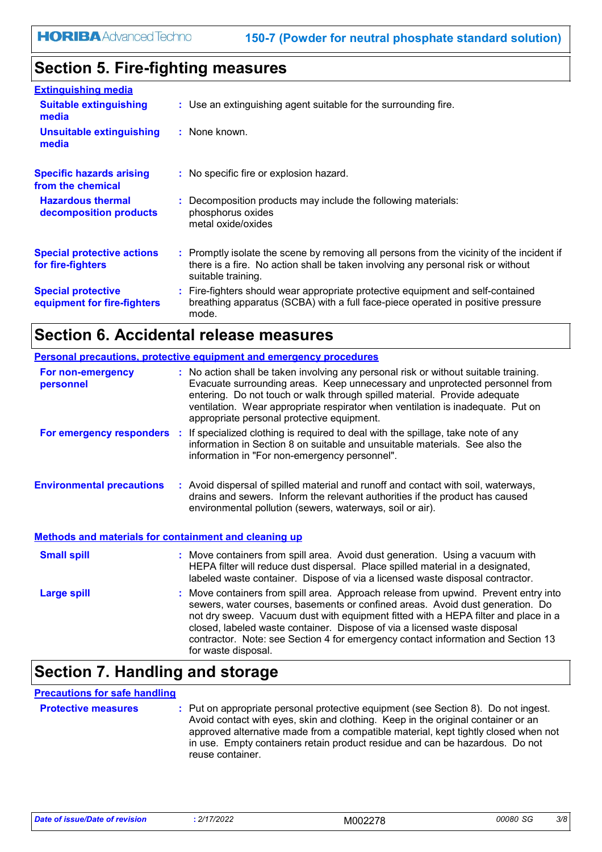# **Section 5. Fire-fighting measures**

| <b>Extinguishing media</b>                               |                                                                                                                                                                                                     |
|----------------------------------------------------------|-----------------------------------------------------------------------------------------------------------------------------------------------------------------------------------------------------|
| <b>Suitable extinguishing</b><br>media                   | : Use an extinguishing agent suitable for the surrounding fire.                                                                                                                                     |
| <b>Unsuitable extinguishing</b><br>media                 | : None known.                                                                                                                                                                                       |
| <b>Specific hazards arising</b><br>from the chemical     | : No specific fire or explosion hazard.                                                                                                                                                             |
| <b>Hazardous thermal</b><br>decomposition products       | : Decomposition products may include the following materials:<br>phosphorus oxides<br>metal oxide/oxides                                                                                            |
| <b>Special protective actions</b><br>for fire-fighters   | : Promptly isolate the scene by removing all persons from the vicinity of the incident if<br>there is a fire. No action shall be taken involving any personal risk or without<br>suitable training. |
| <b>Special protective</b><br>equipment for fire-fighters | : Fire-fighters should wear appropriate protective equipment and self-contained<br>breathing apparatus (SCBA) with a full face-piece operated in positive pressure<br>mode.                         |

### **Section 6. Accidental release measures**

|                                                       | <b>Personal precautions, protective equipment and emergency procedures</b>                                                                                                                                                                                                                                                                                                                                                                         |
|-------------------------------------------------------|----------------------------------------------------------------------------------------------------------------------------------------------------------------------------------------------------------------------------------------------------------------------------------------------------------------------------------------------------------------------------------------------------------------------------------------------------|
| For non-emergency<br>personnel                        | : No action shall be taken involving any personal risk or without suitable training.<br>Evacuate surrounding areas. Keep unnecessary and unprotected personnel from<br>entering. Do not touch or walk through spilled material. Provide adequate<br>ventilation. Wear appropriate respirator when ventilation is inadequate. Put on<br>appropriate personal protective equipment.                                                                  |
|                                                       | For emergency responders : If specialized clothing is required to deal with the spillage, take note of any<br>information in Section 8 on suitable and unsuitable materials. See also the<br>information in "For non-emergency personnel".                                                                                                                                                                                                         |
| <b>Environmental precautions</b>                      | : Avoid dispersal of spilled material and runoff and contact with soil, waterways,<br>drains and sewers. Inform the relevant authorities if the product has caused<br>environmental pollution (sewers, waterways, soil or air).                                                                                                                                                                                                                    |
| Methods and materials for containment and cleaning up |                                                                                                                                                                                                                                                                                                                                                                                                                                                    |
| <b>Small spill</b>                                    | : Move containers from spill area. Avoid dust generation. Using a vacuum with<br>HEPA filter will reduce dust dispersal. Place spilled material in a designated,<br>labeled waste container. Dispose of via a licensed waste disposal contractor.                                                                                                                                                                                                  |
| <b>Large spill</b>                                    | : Move containers from spill area. Approach release from upwind. Prevent entry into<br>sewers, water courses, basements or confined areas. Avoid dust generation. Do<br>not dry sweep. Vacuum dust with equipment fitted with a HEPA filter and place in a<br>closed, labeled waste container. Dispose of via a licensed waste disposal<br>contractor. Note: see Section 4 for emergency contact information and Section 13<br>for waste disposal. |

# **Section 7. Handling and storage**

### **Precautions for safe handling**

**Protective measures : Put on appropriate personal protective equipment (see Section 8). Do not ingest.** Avoid contact with eyes, skin and clothing. Keep in the original container or an approved alternative made from a compatible material, kept tightly closed when not in use. Empty containers retain product residue and can be hazardous. Do not reuse container.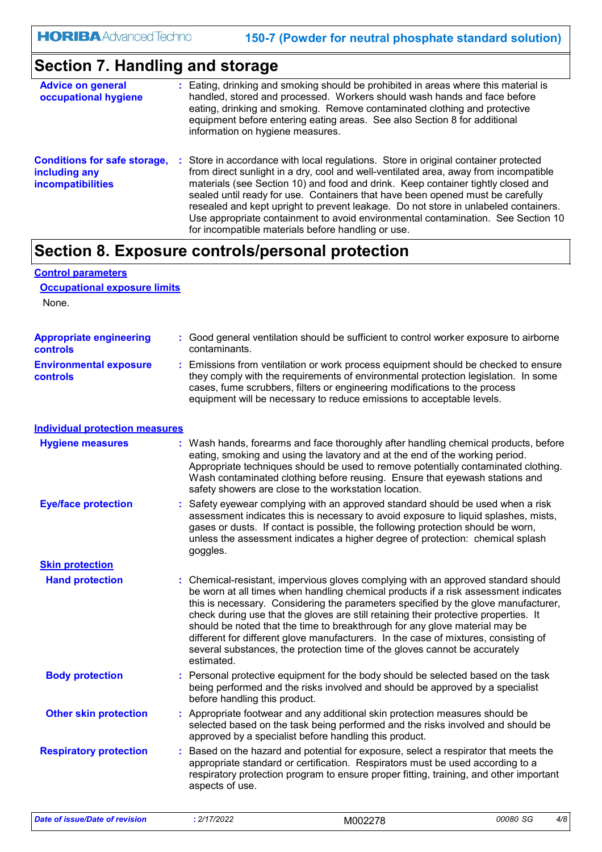# **Section 7. Handling and storage**

| <b>Advice on general</b><br>occupational hygiene                                 | : Eating, drinking and smoking should be prohibited in areas where this material is<br>handled, stored and processed. Workers should wash hands and face before<br>eating, drinking and smoking. Remove contaminated clothing and protective<br>equipment before entering eating areas. See also Section 8 for additional<br>information on hygiene measures.                                                                                                                                                                                                                      |
|----------------------------------------------------------------------------------|------------------------------------------------------------------------------------------------------------------------------------------------------------------------------------------------------------------------------------------------------------------------------------------------------------------------------------------------------------------------------------------------------------------------------------------------------------------------------------------------------------------------------------------------------------------------------------|
| <b>Conditions for safe storage,</b><br>including any<br><b>incompatibilities</b> | : Store in accordance with local regulations. Store in original container protected<br>from direct sunlight in a dry, cool and well-ventilated area, away from incompatible<br>materials (see Section 10) and food and drink. Keep container tightly closed and<br>sealed until ready for use. Containers that have been opened must be carefully<br>resealed and kept upright to prevent leakage. Do not store in unlabeled containers.<br>Use appropriate containment to avoid environmental contamination. See Section 10<br>for incompatible materials before handling or use. |

# **Section 8. Exposure controls/personal protection**

### **Control parameters**

**Occupational exposure limits**

None.

| <b>Appropriate engineering</b><br>controls | : Good general ventilation should be sufficient to control worker exposure to airborne<br>contaminants.                                                                                                                                                                                                                                                                                                                                                                                                                                                                                                                   |
|--------------------------------------------|---------------------------------------------------------------------------------------------------------------------------------------------------------------------------------------------------------------------------------------------------------------------------------------------------------------------------------------------------------------------------------------------------------------------------------------------------------------------------------------------------------------------------------------------------------------------------------------------------------------------------|
| <b>Environmental exposure</b><br>controls  | Emissions from ventilation or work process equipment should be checked to ensure<br>÷.<br>they comply with the requirements of environmental protection legislation. In some<br>cases, fume scrubbers, filters or engineering modifications to the process<br>equipment will be necessary to reduce emissions to acceptable levels.                                                                                                                                                                                                                                                                                       |
| <b>Individual protection measures</b>      |                                                                                                                                                                                                                                                                                                                                                                                                                                                                                                                                                                                                                           |
| <b>Hygiene measures</b>                    | : Wash hands, forearms and face thoroughly after handling chemical products, before<br>eating, smoking and using the lavatory and at the end of the working period.<br>Appropriate techniques should be used to remove potentially contaminated clothing.<br>Wash contaminated clothing before reusing. Ensure that eyewash stations and<br>safety showers are close to the workstation location.                                                                                                                                                                                                                         |
| <b>Eye/face protection</b>                 | : Safety eyewear complying with an approved standard should be used when a risk<br>assessment indicates this is necessary to avoid exposure to liquid splashes, mists,<br>gases or dusts. If contact is possible, the following protection should be worn,<br>unless the assessment indicates a higher degree of protection: chemical splash<br>goggles.                                                                                                                                                                                                                                                                  |
| <b>Skin protection</b>                     |                                                                                                                                                                                                                                                                                                                                                                                                                                                                                                                                                                                                                           |
| <b>Hand protection</b>                     | : Chemical-resistant, impervious gloves complying with an approved standard should<br>be worn at all times when handling chemical products if a risk assessment indicates<br>this is necessary. Considering the parameters specified by the glove manufacturer,<br>check during use that the gloves are still retaining their protective properties. It<br>should be noted that the time to breakthrough for any glove material may be<br>different for different glove manufacturers. In the case of mixtures, consisting of<br>several substances, the protection time of the gloves cannot be accurately<br>estimated. |
| <b>Body protection</b>                     | : Personal protective equipment for the body should be selected based on the task<br>being performed and the risks involved and should be approved by a specialist<br>before handling this product.                                                                                                                                                                                                                                                                                                                                                                                                                       |
| <b>Other skin protection</b>               | : Appropriate footwear and any additional skin protection measures should be<br>selected based on the task being performed and the risks involved and should be<br>approved by a specialist before handling this product.                                                                                                                                                                                                                                                                                                                                                                                                 |
| <b>Respiratory protection</b>              | : Based on the hazard and potential for exposure, select a respirator that meets the<br>appropriate standard or certification. Respirators must be used according to a<br>respiratory protection program to ensure proper fitting, training, and other important<br>aspects of use.                                                                                                                                                                                                                                                                                                                                       |
|                                            |                                                                                                                                                                                                                                                                                                                                                                                                                                                                                                                                                                                                                           |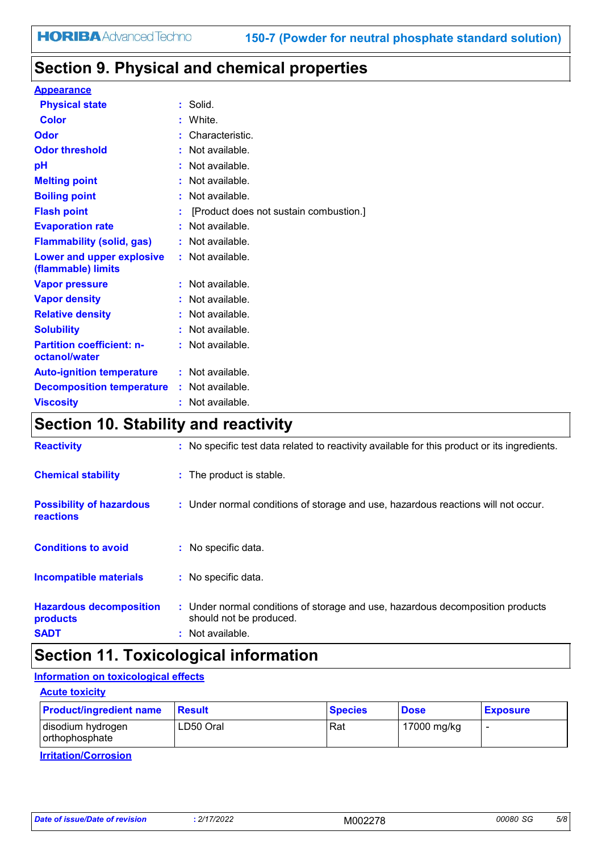# **Section 9. Physical and chemical properties**

#### **Appearance**

| <b>Physical state</b>                             |   | Solid.                                 |
|---------------------------------------------------|---|----------------------------------------|
| Color                                             | ÷ | White.                                 |
| Odor                                              |   | Characteristic.                        |
| <b>Odor threshold</b>                             |   | $\cdot$ Not available.                 |
| рH                                                |   | Not available.                         |
| <b>Melting point</b>                              |   | Not available.                         |
| <b>Boiling point</b>                              |   | $:$ Not available.                     |
| <b>Flash point</b>                                |   | [Product does not sustain combustion.] |
| <b>Evaporation rate</b>                           |   | Not available.                         |
| <b>Flammability (solid, gas)</b>                  |   | : Not available.                       |
| Lower and upper explosive<br>(flammable) limits   |   | : Not available.                       |
| <b>Vapor pressure</b>                             |   | Not available.                         |
| <b>Vapor density</b>                              |   | Not available.                         |
| <b>Relative density</b>                           |   | Not available.                         |
| <b>Solubility</b>                                 |   | Not available.                         |
| <b>Partition coefficient: n-</b><br>octanol/water |   | : Not available.                       |
| <b>Auto-ignition temperature</b>                  |   | : Not available.                       |
| <b>Decomposition temperature</b>                  |   | : Not available.                       |
| <b>Viscositv</b>                                  |   | Not available.                         |

# **Section 10. Stability and reactivity**

| <b>Reactivity</b>                                         | : No specific test data related to reactivity available for this product or its ingredients.                                  |
|-----------------------------------------------------------|-------------------------------------------------------------------------------------------------------------------------------|
| <b>Chemical stability</b>                                 | : The product is stable.                                                                                                      |
| <b>Possibility of hazardous</b><br>reactions              | : Under normal conditions of storage and use, hazardous reactions will not occur.                                             |
| <b>Conditions to avoid</b>                                | : No specific data.                                                                                                           |
| <b>Incompatible materials</b>                             | : No specific data.                                                                                                           |
| <b>Hazardous decomposition</b><br>products<br><b>SADT</b> | : Under normal conditions of storage and use, hazardous decomposition products<br>should not be produced.<br>: Not available. |

# **Section 11. Toxicological information**

#### **Information on toxicological effects**

| <b>Acute toxicity</b>               |               |                |             |                 |
|-------------------------------------|---------------|----------------|-------------|-----------------|
| <b>Product/ingredient name</b>      | <b>Result</b> | <b>Species</b> | <b>Dose</b> | <b>Exposure</b> |
| disodium hydrogen<br>orthophosphate | LD50 Oral     | Rat            | 17000 mg/kg |                 |

**Irritation/Corrosion**

| sion.<br>$M^{\prime\prime}$<br>LULL<br>- | Dafi | 10000<br>2/4 |  | 00080 SG | 5/8 |
|------------------------------------------|------|--------------|--|----------|-----|
|------------------------------------------|------|--------------|--|----------|-----|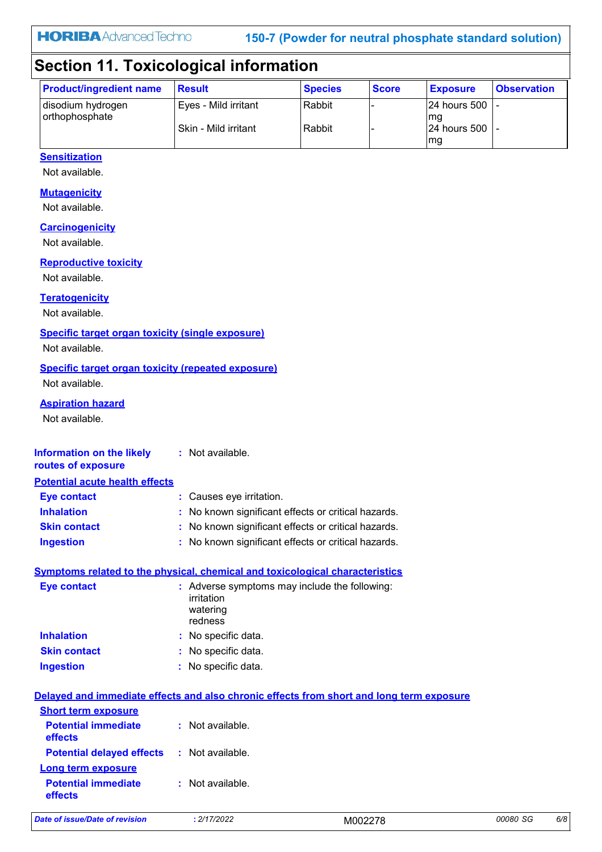**150-7 (Powder for neutral phosphate standard solution)**

# **Section 11. Toxicological information**

| <b>Product/ingredient name</b>      | <b>Result</b>        | <b>Species</b> | <b>Score</b> | <b>Exposure</b>              | <b>Observation</b> |
|-------------------------------------|----------------------|----------------|--------------|------------------------------|--------------------|
| disodium hydrogen<br>orthophosphate | Eves - Mild irritant | Rabbit         |              | $ 24$ hours 500 $ $ -<br>lmg |                    |
|                                     | Skin - Mild irritant | Rabbit         |              | 24 hours 500  -              |                    |
|                                     |                      |                |              | mg                           |                    |

### **Sensitization**

Not available.

#### **Mutagenicity**

Not available.

#### **Carcinogenicity**

Not available.

#### **Reproductive toxicity**

Not available.

#### **Teratogenicity**

Not available.

#### **Specific target organ toxicity (single exposure)**

Not available.

#### **Specific target organ toxicity (repeated exposure)**

Not available.

#### **Aspiration hazard**

Not available.

#### **Information on the likely routes of exposure Inhalation :** No known significant effects or critical hazards. **Skin contact :** No known significant effects or critical hazards. **Eye contact :** Causes eye irritation. **:** Not available. **Potential acute health effects**

#### **Ingestion :** No known significant effects or critical hazards.

### **Symptoms related to the physical, chemical and toxicological characteristics**

| <b>Eye contact</b>  | : Adverse symptoms may include the following:<br>irritation<br>watering<br>redness |
|---------------------|------------------------------------------------------------------------------------|
| <b>Inhalation</b>   | : No specific data.                                                                |
| <b>Skin contact</b> | : No specific data.                                                                |
| <b>Ingestion</b>    | : No specific data.                                                                |

#### **Delayed and immediate effects and also chronic effects from short and long term exposure**

| <b>Short term exposure</b>                                              |                  |
|-------------------------------------------------------------------------|------------------|
| <b>Potential immediate</b><br>effects                                   | : Not available. |
| <b>Potential delayed effects : Not available.</b><br>Long term exposure |                  |
| <b>Potential immediate</b><br>effects                                   | : Not available. |

*Date of issue/Date of revision* **:** *2/17/2022* M002278 *00080 SG 6/8*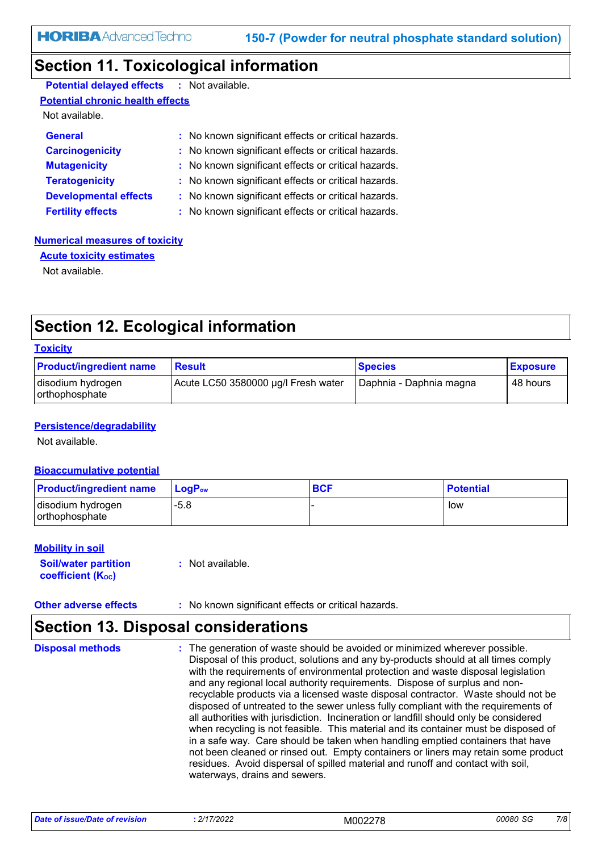### **Section 11. Toxicological information**

| <b>Potential delayed effects : Not available.</b> |                                                     |
|---------------------------------------------------|-----------------------------------------------------|
| <b>Potential chronic health effects</b>           |                                                     |
| Not available.                                    |                                                     |
| <b>General</b>                                    | : No known significant effects or critical hazards. |
| <b>Carcinogenicity</b>                            | : No known significant effects or critical hazards. |
| <b>Mutagenicity</b>                               | : No known significant effects or critical hazards. |
| <b>Teratogenicity</b>                             | : No known significant effects or critical hazards. |
| <b>Developmental effects</b>                      | : No known significant effects or critical hazards. |
| <b>Fertility effects</b>                          | : No known significant effects or critical hazards. |

#### **Numerical measures of toxicity**

**Acute toxicity estimates**

Not available.

### **Section 12. Ecological information**

| <b>Toxicity</b>                     |                                     |                         |                 |
|-------------------------------------|-------------------------------------|-------------------------|-----------------|
| <b>Product/ingredient name</b>      | <b>Result</b>                       | <b>Species</b>          | <b>Exposure</b> |
| disodium hydrogen<br>orthophosphate | Acute LC50 3580000 µg/l Fresh water | Daphnia - Daphnia magna | 48 hours        |

#### **Persistence/degradability**

Not available.

#### **Bioaccumulative potential**

| <b>Product/ingredient name</b>        | $\mathsf{LocP}_\mathsf{ow}$ | <b>BCF</b> | <b>Potential</b> |
|---------------------------------------|-----------------------------|------------|------------------|
| disodium hydrogen<br>l orthophosphate | $-5.8$                      |            | low              |

#### **Mobility in soil**

**Soil/water partition coefficient (K**<sub>oc</sub>)

**:** Not available.

#### **Other adverse effects :** No known significant effects or critical hazards.

# **Section 13. Disposal considerations**

The generation of waste should be avoided or minimized wherever possible. Disposal of this product, solutions and any by-products should at all times comply with the requirements of environmental protection and waste disposal legislation and any regional local authority requirements. Dispose of surplus and nonrecyclable products via a licensed waste disposal contractor. Waste should not be disposed of untreated to the sewer unless fully compliant with the requirements of all authorities with jurisdiction. Incineration or landfill should only be considered when recycling is not feasible. This material and its container must be disposed of in a safe way. Care should be taken when handling emptied containers that have not been cleaned or rinsed out. Empty containers or liners may retain some product residues. Avoid dispersal of spilled material and runoff and contact with soil, waterways, drains and sewers. **Disposal methods :**